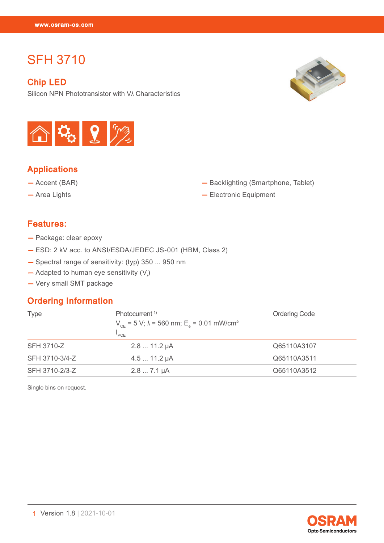# SFH 3710

#### Chip LED

SFH 3710<br>SFH 3710<br>SFH 3710

Silicon NPN Phototransistor with Vλ Characteristics





# Applications

- Accent (BAR)
- Area Lights
- Backlighting (Smartphone, Tablet)
- Electronic Equipment

### Features:

- Package: clear epoxy
- ESD: 2 kV acc. to ANSI/ESDA/JEDEC JS-001 (HBM, Class 2)
- Spectral range of sensitivity: (typ) 350 ... 950 nm
- $-$  Adapted to human eye sensitivity  $(V_{\lambda})$
- Very small SMT package

#### Ordering Information

| <b>Type</b>       | Photocurrent <sup>1)</sup><br>$V_{CF}$ = 5 V; $\lambda$ = 560 nm; E <sub>s</sub> = 0.01 mW/cm <sup>2</sup><br>PCF | <b>Ordering Code</b> |
|-------------------|-------------------------------------------------------------------------------------------------------------------|----------------------|
| <b>SFH 3710-Z</b> | $2.811.2 \mu A$                                                                                                   | Q65110A3107          |
| SFH 3710-3/4-Z    | $4.511.2 \mu A$                                                                                                   | Q65110A3511          |
| SFH 3710-2/3-Z    | $2.87.1 \mu A$                                                                                                    | Q65110A3512          |

Single bins on request.

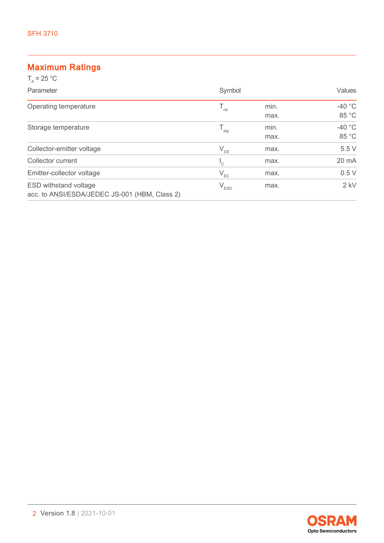## Maximum Ratings

| $T_{0}$ = 25 °C                               |                             |      |               |
|-----------------------------------------------|-----------------------------|------|---------------|
| Parameter                                     | Symbol                      |      | <b>Values</b> |
| Operating temperature                         | $T_{op}$                    | min. | $-40 °C$      |
|                                               |                             | max. | 85 °C         |
| Storage temperature                           | $\mathsf{T}_{\text{stg}}$   | min. | $-40 °C$      |
|                                               |                             | max. | 85 °C         |
| Collector-emitter voltage                     | $V_{CE}$                    | max. | 5.5V          |
| Collector current                             | $\mathsf{I}_{\mathbb{C}}$   | max. | 20 mA         |
| Emitter-collector voltage                     | $V_{EC}$                    | max. | 0.5V          |
| <b>ESD withstand voltage</b>                  | $\mathsf{V}_{\texttt{ESD}}$ | max. | $2$ kV        |
| acc. to ANSI/ESDA/JEDEC JS-001 (HBM, Class 2) |                             |      |               |

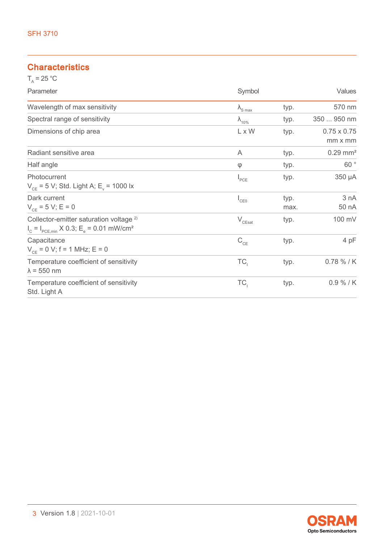# **Characteristics**

| $T_a = 25 °C$                                                                                                                   |                          |              |                               |
|---------------------------------------------------------------------------------------------------------------------------------|--------------------------|--------------|-------------------------------|
| Parameter                                                                                                                       | Symbol                   |              | Values                        |
| Wavelength of max sensitivity                                                                                                   | $\lambda_{\text{S max}}$ | typ.         | 570 nm                        |
| Spectral range of sensitivity                                                                                                   | $\lambda_{10\%}$         | typ.         | 350  950 nm                   |
| Dimensions of chip area                                                                                                         | L x W                    | typ.         | $0.75 \times 0.75$<br>mm x mm |
| Radiant sensitive area                                                                                                          | A                        | typ.         | $0.29$ mm <sup>2</sup>        |
| Half angle                                                                                                                      | $\varphi$                | typ.         | $60\,$ $^{\circ}$             |
| Photocurrent<br>$V_{CF}$ = 5 V; Std. Light A; E <sub>v</sub> = 1000 lx                                                          | $I_{PCE}$                | typ.         | 350 µA                        |
| Dark current<br>$V_{CE} = 5 V; E = 0$                                                                                           | $I_{CE0}$                | typ.<br>max. | 3 nA<br>50 nA                 |
| Collector-emitter saturation voltage <sup>2)</sup><br>$I_c = I_{PCE,min} \times 0.3$ ; E <sub>e</sub> = 0.01 mW/cm <sup>2</sup> | $\rm V_{\rm CEsat}$      | typ.         | 100 mV                        |
| Capacitance<br>$V_{CF}$ = 0 V; f = 1 MHz; E = 0                                                                                 | $C_{CE}$                 | typ.         | 4 pF                          |
| Temperature coefficient of sensitivity<br>$\lambda$ = 550 nm                                                                    | TC <sub>1</sub>          | typ.         | 0.78 % / K                    |
| Temperature coefficient of sensitivity<br>Std. Light A                                                                          | TC <sub>1</sub>          | typ.         | $0.9 \% / K$                  |

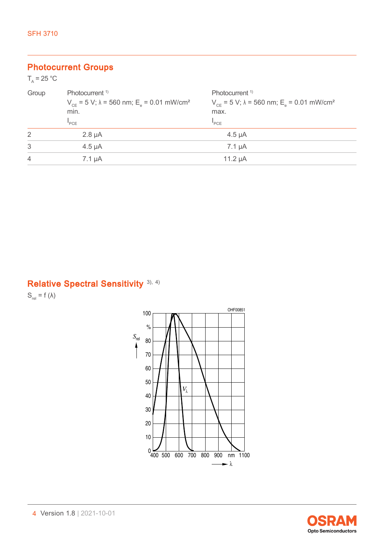### Photocurrent Groups

| $T_{0} = 25 °C$ |                                                                                                                           |                                                                                                                            |
|-----------------|---------------------------------------------------------------------------------------------------------------------------|----------------------------------------------------------------------------------------------------------------------------|
| Group           | Photocurrent <sup>1)</sup><br>$V_{CF}$ = 5 V; $\lambda$ = 560 nm; E <sub>e</sub> = 0.01 mW/cm <sup>2</sup><br>min.<br>PCE | Photocurrent <sup>1)</sup><br>$V_{CF}$ = 5 V; $\lambda$ = 560 nm; E <sub>s</sub> = 0.01 mW/cm <sup>2</sup><br>max.<br>"PCE |
| 2               | $2.8 \mu A$                                                                                                               | $4.5 \mu A$                                                                                                                |
| 3               | $4.5 \mu A$                                                                                                               | $7.1 \mu A$                                                                                                                |
| $\overline{4}$  | $7.1 \mu A$                                                                                                               | 11.2 $\mu$ A                                                                                                               |
|                 |                                                                                                                           |                                                                                                                            |

# Relative Spectral Sensitivity<sup>[3\),](#page-14-0) [4\)](#page-14-0)</sup>

 $S_{rel} = f (\lambda)$ 



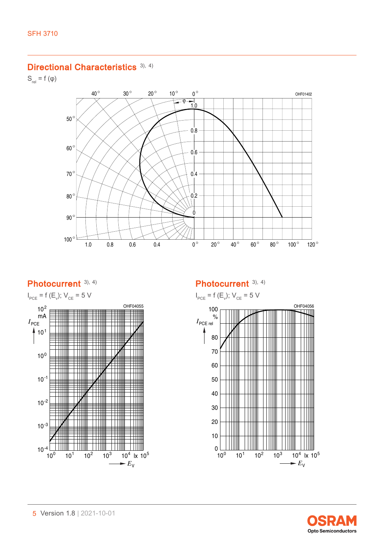#### Directional Characteristics [3\),](#page-14-0) [4\)](#page-14-0)

 $S_{rel} = f(\varphi)$ 



## Photocurrent [3\),](#page-14-0) [4\)](#page-14-0)



### Photocurrent [3\),](#page-14-0) [4\)](#page-14-0)

$$
I_{\text{PCE}} = f(E_v); V_{\text{CE}} = 5 \text{ V}
$$



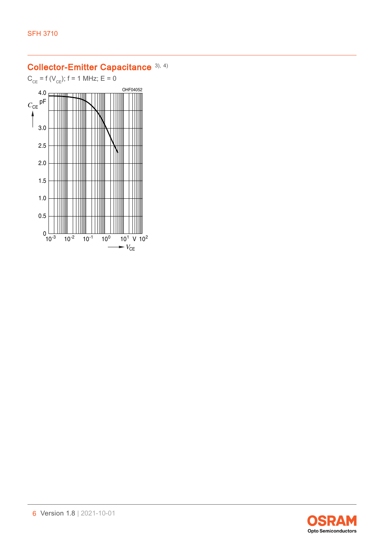# Collector-Emitter Capacitance [3\),](#page-14-0) [4\)](#page-14-0)

 $C_{CE}$  = f ( $V_{CE}$ ); f = 1 MHz; E = 0



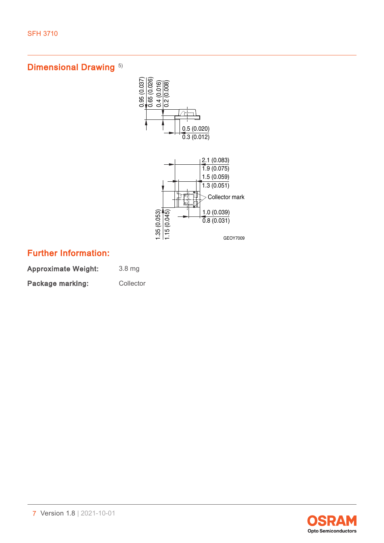# Dimensional Drawing<sup>[5\)](#page-14-0)</sup>



# Further Information:

Approximate Weight: 3.8 mg Package marking: Collector

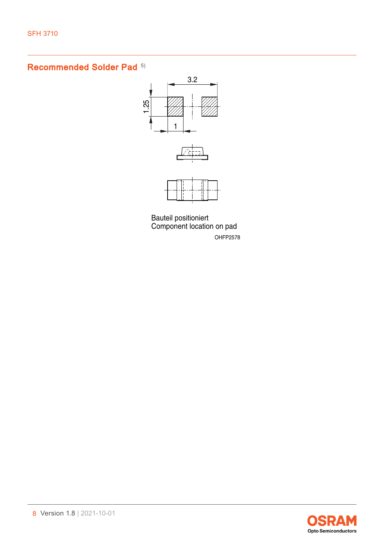# Recommended Solder Pad<sup>[5\)](#page-14-0)</sup>







OHFP2578 Component location on pad Bauteil positioniert

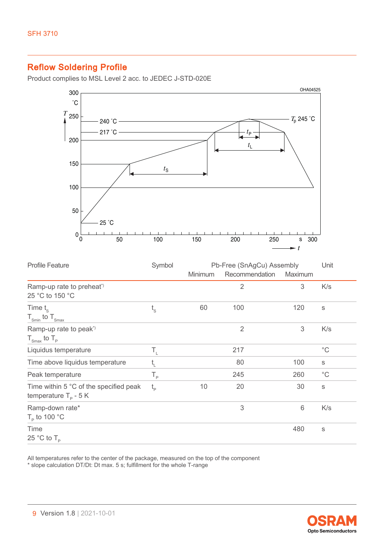# Reflow Soldering Profile

Product complies to MSL Level 2 acc. to JEDEC J-STD-020E



| <b>Profile Feature</b>                                                   | Symbol      | Pb-Free (SnAgCu) Assembly |                |                 | Unit         |
|--------------------------------------------------------------------------|-------------|---------------------------|----------------|-----------------|--------------|
|                                                                          |             | <b>Minimum</b>            | Recommendation | Maximum         |              |
| Ramp-up rate to preheat <sup>*</sup><br>25 °C to 150 °C                  |             |                           | $\overline{2}$ | 3               | K/s          |
| Time $t_{\rm s}$<br>$T_{\text{Smin}}$ to $T_{\text{Smax}}$               | $t_{\rm s}$ | 60                        | 100            | 120             | S            |
| Ramp-up rate to peak <sup>*</sup><br>$T_{\text{Smax}}$ to $T_{\text{p}}$ |             |                           | $\overline{2}$ | 3               | K/s          |
| Liquidus temperature                                                     | Τ,          |                           | 217            |                 | $^{\circ}$ C |
| Time above liquidus temperature                                          | t,          |                           | 80             | 100             | $\mathbb S$  |
| Peak temperature                                                         | $T_{\rm p}$ |                           | 245            | 260             | $^{\circ}$ C |
| Time within 5 °C of the specified peak<br>temperature $T_p - 5K$         | $t_{\rm p}$ | 10                        | 20             | 30              | $\mathbb S$  |
| Ramp-down rate*<br>$T_{\rm p}$ to 100 °C                                 |             |                           | 3              | $6\phantom{1}6$ | K/s          |
| Time<br>25 °C to $T_{\rm p}$                                             |             |                           |                | 480             | S            |

All temperatures refer to the center of the package, measured on the top of the component \* slope calculation DT/Dt: Dt max. 5 s; fulfillment for the whole T-range

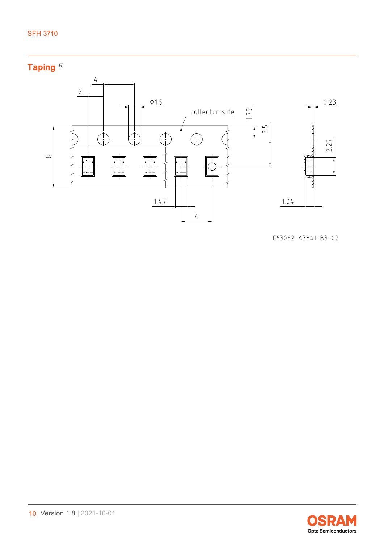#### SFH 3710





 $C63062 - A3841 - B3 - 02$ 

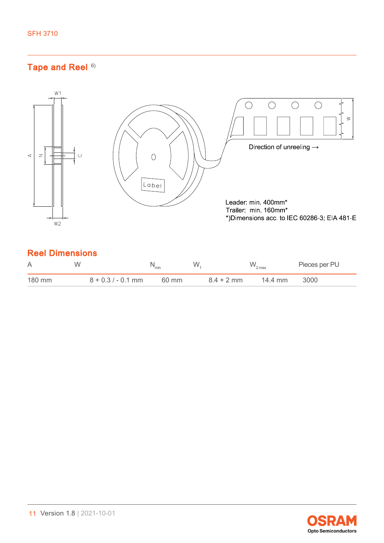# Tape and Reel [6\)](#page-14-0)



| A      | W                    | "min  | W            | $W_{2 \text{ max}}$ | Pieces per PU |
|--------|----------------------|-------|--------------|---------------------|---------------|
| 180 mm | $8 + 0.3 / - 0.1$ mm | 60 mm | $8.4 + 2$ mm | 14.4 mm             | 3000          |

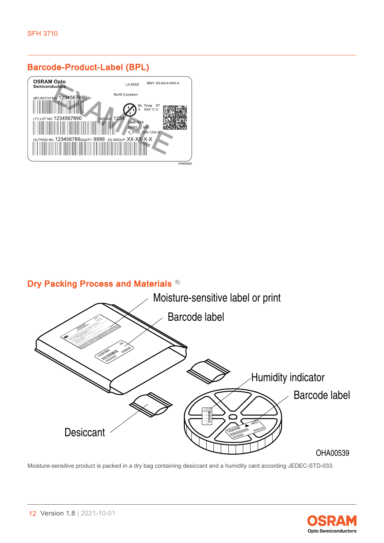# Barcode-Product-Label (BPL)



# Dry Packing Process and Materials [5\)](#page-14-0)



Moisture-sensitive product is packed in a dry bag containing desiccant and a humidity card according JEDEC-STD-033.

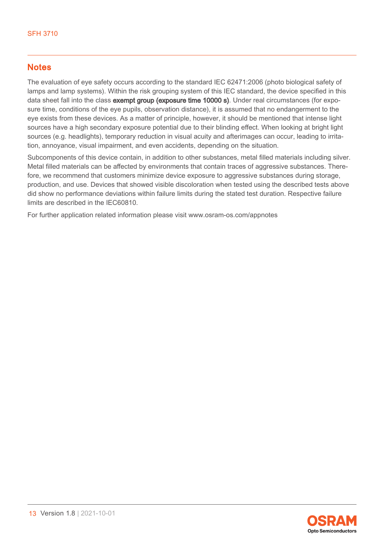### **Notes**

The evaluation of eye safety occurs according to the standard IEC 62471:2006 (photo biological safety of lamps and lamp systems). Within the risk grouping system of this IEC standard, the device specified in this data sheet fall into the class exempt group (exposure time 10000 s). Under real circumstances (for exposure time, conditions of the eye pupils, observation distance), it is assumed that no endangerment to the eye exists from these devices. As a matter of principle, however, it should be mentioned that intense light sources have a high secondary exposure potential due to their blinding effect. When looking at bright light sources (e.g. headlights), temporary reduction in visual acuity and afterimages can occur, leading to irritation, annoyance, visual impairment, and even accidents, depending on the situation.

Subcomponents of this device contain, in addition to other substances, metal filled materials including silver. Metal filled materials can be affected by environments that contain traces of aggressive substances. Therefore, we recommend that customers minimize device exposure to aggressive substances during storage, production, and use. Devices that showed visible discoloration when tested using the described tests above did show no performance deviations within failure limits during the stated test duration. Respective failure limits are described in the IEC60810.

For further application related information please visit www.osram-os.com/appnotes

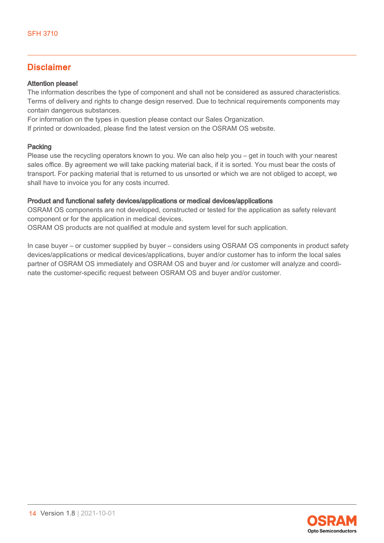### Disclaimer

#### Attention please!

The information describes the type of component and shall not be considered as assured characteristics. Terms of delivery and rights to change design reserved. Due to technical requirements components may contain dangerous substances.

For information on the types in question please contact our Sales Organization.

If printed or downloaded, please find the latest version on the OSRAM OS website.

#### Packing

Please use the recycling operators known to you. We can also help you – get in touch with your nearest sales office. By agreement we will take packing material back, if it is sorted. You must bear the costs of transport. For packing material that is returned to us unsorted or which we are not obliged to accept, we shall have to invoice you for any costs incurred.

#### Product and functional safety devices/applications or medical devices/applications

OSRAM OS components are not developed, constructed or tested for the application as safety relevant component or for the application in medical devices.

OSRAM OS products are not qualified at module and system level for such application.

In case buyer – or customer supplied by buyer – considers using OSRAM OS components in product safety devices/applications or medical devices/applications, buyer and/or customer has to inform the local sales partner of OSRAM OS immediately and OSRAM OS and buyer and /or customer will analyze and coordinate the customer-specific request between OSRAM OS and buyer and/or customer.

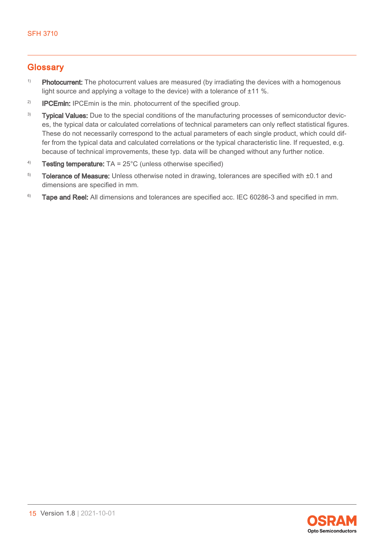### <span id="page-14-0"></span>**Glossary**

- <sup>1)</sup> Photocurrent: The photocurrent values are measured (by irradiating the devices with a homogenous light source and applying a voltage to the device) with a tolerance of ±11 %.
- <sup>2)</sup> **IPCEmin:** IPCEmin is the min. photocurrent of the specified group.
- <sup>3)</sup> Typical Values: Due to the special conditions of the manufacturing processes of semiconductor devices, the typical data or calculated correlations of technical parameters can only reflect statistical figures. These do not necessarily correspond to the actual parameters of each single product, which could differ from the typical data and calculated correlations or the typical characteristic line. If requested, e.g. because of technical improvements, these typ. data will be changed without any further notice.
- <sup>4)</sup> Testing temperature:  $TA = 25^{\circ}C$  (unless otherwise specified)
- $5)$  Tolerance of Measure: Unless otherwise noted in drawing, tolerances are specified with  $\pm 0.1$  and dimensions are specified in mm.
- <sup>6)</sup> Tape and Reel: All dimensions and tolerances are specified acc. IEC 60286-3 and specified in mm.

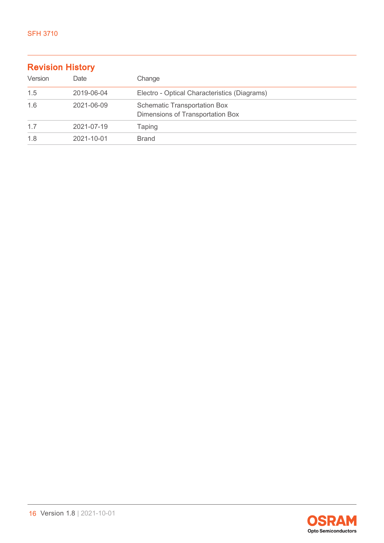| <b>Revision History</b> |            |                                                                         |  |  |
|-------------------------|------------|-------------------------------------------------------------------------|--|--|
| Version                 | Date       | Change                                                                  |  |  |
| 1.5                     | 2019-06-04 | Electro - Optical Characteristics (Diagrams)                            |  |  |
| 1.6                     | 2021-06-09 | <b>Schematic Transportation Box</b><br>Dimensions of Transportation Box |  |  |
| 1.7                     | 2021-07-19 | <b>Taping</b>                                                           |  |  |
| 1.8                     | 2021-10-01 | <b>Brand</b>                                                            |  |  |